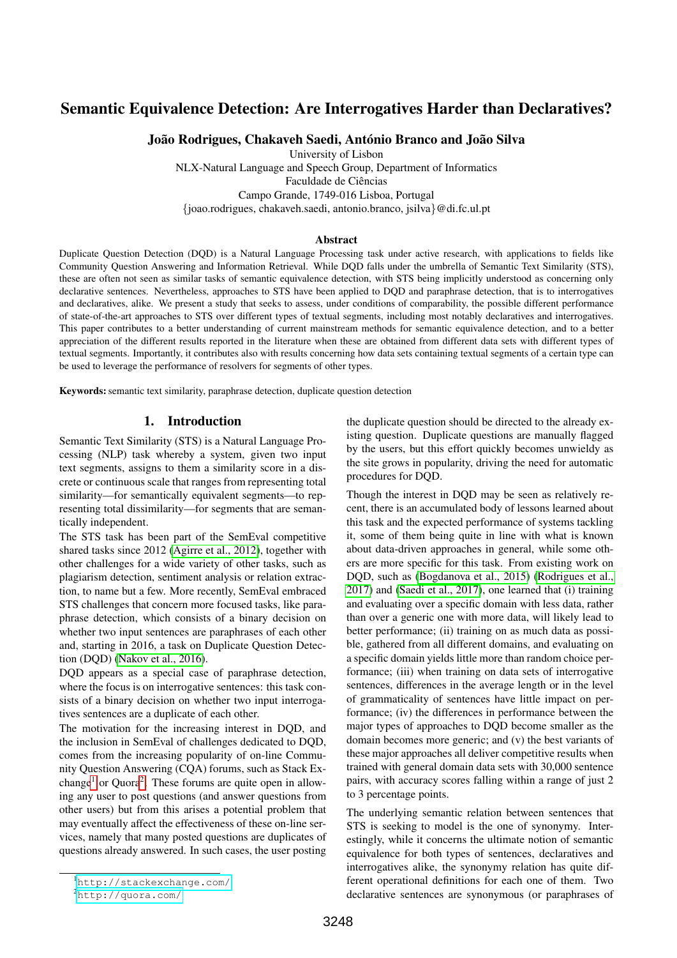# Semantic Equivalence Detection: Are Interrogatives Harder than Declaratives?

João Rodrigues, Chakaveh Saedi, António Branco and João Silva

University of Lisbon

NLX-Natural Language and Speech Group, Department of Informatics Faculdade de Ciências Campo Grande, 1749-016 Lisboa, Portugal {joao.rodrigues, chakaveh.saedi, antonio.branco, jsilva}@di.fc.ul.pt

#### **Abstract**

Duplicate Question Detection (DQD) is a Natural Language Processing task under active research, with applications to fields like Community Question Answering and Information Retrieval. While DQD falls under the umbrella of Semantic Text Similarity (STS), these are often not seen as similar tasks of semantic equivalence detection, with STS being implicitly understood as concerning only declarative sentences. Nevertheless, approaches to STS have been applied to DQD and paraphrase detection, that is to interrogatives and declaratives, alike. We present a study that seeks to assess, under conditions of comparability, the possible different performance of state-of-the-art approaches to STS over different types of textual segments, including most notably declaratives and interrogatives. This paper contributes to a better understanding of current mainstream methods for semantic equivalence detection, and to a better appreciation of the different results reported in the literature when these are obtained from different data sets with different types of textual segments. Importantly, it contributes also with results concerning how data sets containing textual segments of a certain type can be used to leverage the performance of resolvers for segments of other types.

Keywords: semantic text similarity, paraphrase detection, duplicate question detection

# 1. Introduction

Semantic Text Similarity (STS) is a Natural Language Processing (NLP) task whereby a system, given two input text segments, assigns to them a similarity score in a discrete or continuous scale that ranges from representing total similarity—for semantically equivalent segments—to representing total dissimilarity—for segments that are semantically independent.

The STS task has been part of the SemEval competitive shared tasks since 2012 [\(Agirre et al., 2012\)](#page-5-0), together with other challenges for a wide variety of other tasks, such as plagiarism detection, sentiment analysis or relation extraction, to name but a few. More recently, SemEval embraced STS challenges that concern more focused tasks, like paraphrase detection, which consists of a binary decision on whether two input sentences are paraphrases of each other and, starting in 2016, a task on Duplicate Question Detection (DQD) [\(Nakov et al., 2016\)](#page-5-1).

DQD appears as a special case of paraphrase detection, where the focus is on interrogative sentences: this task consists of a binary decision on whether two input interrogatives sentences are a duplicate of each other.

The motivation for the increasing interest in DQD, and the inclusion in SemEval of challenges dedicated to DQD, comes from the increasing popularity of on-line Community Question Answering (CQA) forums, such as Stack Ex-change<sup>[1](#page-0-0)</sup> or Quora<sup>[2](#page-0-1)</sup>. These forums are quite open in allowing any user to post questions (and answer questions from other users) but from this arises a potential problem that may eventually affect the effectiveness of these on-line services, namely that many posted questions are duplicates of questions already answered. In such cases, the user posting the duplicate question should be directed to the already existing question. Duplicate questions are manually flagged by the users, but this effort quickly becomes unwieldy as the site grows in popularity, driving the need for automatic procedures for DQD.

Though the interest in DQD may be seen as relatively recent, there is an accumulated body of lessons learned about this task and the expected performance of systems tackling it, some of them being quite in line with what is known about data-driven approaches in general, while some others are more specific for this task. From existing work on DQD, such as [\(Bogdanova et al., 2015\)](#page-5-2) [\(Rodrigues et al.,](#page-5-3) [2017\)](#page-5-3) and [\(Saedi et al., 2017\)](#page-5-4), one learned that (i) training and evaluating over a specific domain with less data, rather than over a generic one with more data, will likely lead to better performance; (ii) training on as much data as possible, gathered from all different domains, and evaluating on a specific domain yields little more than random choice performance; (iii) when training on data sets of interrogative sentences, differences in the average length or in the level of grammaticality of sentences have little impact on performance; (iv) the differences in performance between the major types of approaches to DQD become smaller as the domain becomes more generic; and (v) the best variants of these major approaches all deliver competitive results when trained with general domain data sets with 30,000 sentence pairs, with accuracy scores falling within a range of just 2 to 3 percentage points.

The underlying semantic relation between sentences that STS is seeking to model is the one of synonymy. Interestingly, while it concerns the ultimate notion of semantic equivalence for both types of sentences, declaratives and interrogatives alike, the synonymy relation has quite different operational definitions for each one of them. Two declarative sentences are synonymous (or paraphrases of

<span id="page-0-0"></span><sup>1</sup><http://stackexchange.com/>

<span id="page-0-1"></span><sup>2</sup><http://quora.com/>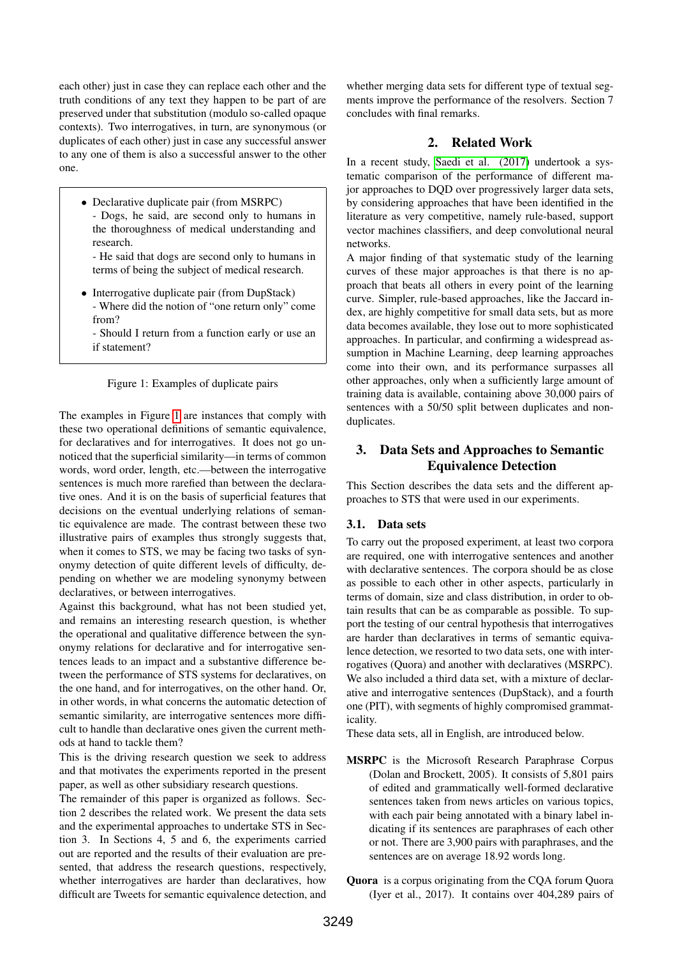each other) just in case they can replace each other and the truth conditions of any text they happen to be part of are preserved under that substitution (modulo so-called opaque contexts). Two interrogatives, in turn, are synonymous (or duplicates of each other) just in case any successful answer to any one of them is also a successful answer to the other one.

- Declarative duplicate pair (from MSRPC)
	- Dogs, he said, are second only to humans in the thoroughness of medical understanding and research.
	- He said that dogs are second only to humans in terms of being the subject of medical research.
- Interrogative duplicate pair (from DupStack) - Where did the notion of "one return only" come from?
	- Should I return from a function early or use an if statement?

#### <span id="page-1-0"></span>Figure 1: Examples of duplicate pairs

The examples in Figure [1](#page-1-0) are instances that comply with these two operational definitions of semantic equivalence, for declaratives and for interrogatives. It does not go unnoticed that the superficial similarity—in terms of common words, word order, length, etc.—between the interrogative sentences is much more rarefied than between the declarative ones. And it is on the basis of superficial features that decisions on the eventual underlying relations of semantic equivalence are made. The contrast between these two illustrative pairs of examples thus strongly suggests that, when it comes to STS, we may be facing two tasks of synonymy detection of quite different levels of difficulty, depending on whether we are modeling synonymy between declaratives, or between interrogatives.

Against this background, what has not been studied yet, and remains an interesting research question, is whether the operational and qualitative difference between the synonymy relations for declarative and for interrogative sentences leads to an impact and a substantive difference between the performance of STS systems for declaratives, on the one hand, and for interrogatives, on the other hand. Or, in other words, in what concerns the automatic detection of semantic similarity, are interrogative sentences more difficult to handle than declarative ones given the current methods at hand to tackle them?

This is the driving research question we seek to address and that motivates the experiments reported in the present paper, as well as other subsidiary research questions.

The remainder of this paper is organized as follows. Section 2 describes the related work. We present the data sets and the experimental approaches to undertake STS in Section 3. In Sections 4, 5 and 6, the experiments carried out are reported and the results of their evaluation are presented, that address the research questions, respectively, whether interrogatives are harder than declaratives, how difficult are Tweets for semantic equivalence detection, and whether merging data sets for different type of textual segments improve the performance of the resolvers. Section 7 concludes with final remarks.

# 2. Related Work

In a recent study, [Saedi et al. \(2017\)](#page-5-4) undertook a systematic comparison of the performance of different major approaches to DQD over progressively larger data sets, by considering approaches that have been identified in the literature as very competitive, namely rule-based, support vector machines classifiers, and deep convolutional neural networks.

A major finding of that systematic study of the learning curves of these major approaches is that there is no approach that beats all others in every point of the learning curve. Simpler, rule-based approaches, like the Jaccard index, are highly competitive for small data sets, but as more data becomes available, they lose out to more sophisticated approaches. In particular, and confirming a widespread assumption in Machine Learning, deep learning approaches come into their own, and its performance surpasses all other approaches, only when a sufficiently large amount of training data is available, containing above 30,000 pairs of sentences with a 50/50 split between duplicates and nonduplicates.

# 3. Data Sets and Approaches to Semantic Equivalence Detection

This Section describes the data sets and the different approaches to STS that were used in our experiments.

### 3.1. Data sets

To carry out the proposed experiment, at least two corpora are required, one with interrogative sentences and another with declarative sentences. The corpora should be as close as possible to each other in other aspects, particularly in terms of domain, size and class distribution, in order to obtain results that can be as comparable as possible. To support the testing of our central hypothesis that interrogatives are harder than declaratives in terms of semantic equivalence detection, we resorted to two data sets, one with interrogatives (Quora) and another with declaratives (MSRPC). We also included a third data set, with a mixture of declarative and interrogative sentences (DupStack), and a fourth one (PIT), with segments of highly compromised grammaticality.

These data sets, all in English, are introduced below.

- MSRPC is the Microsoft Research Paraphrase Corpus (Dolan and Brockett, 2005). It consists of 5,801 pairs of edited and grammatically well-formed declarative sentences taken from news articles on various topics, with each pair being annotated with a binary label indicating if its sentences are paraphrases of each other or not. There are 3,900 pairs with paraphrases, and the sentences are on average 18.92 words long.
- Quora is a corpus originating from the CQA forum Quora (Iyer et al., 2017). It contains over 404,289 pairs of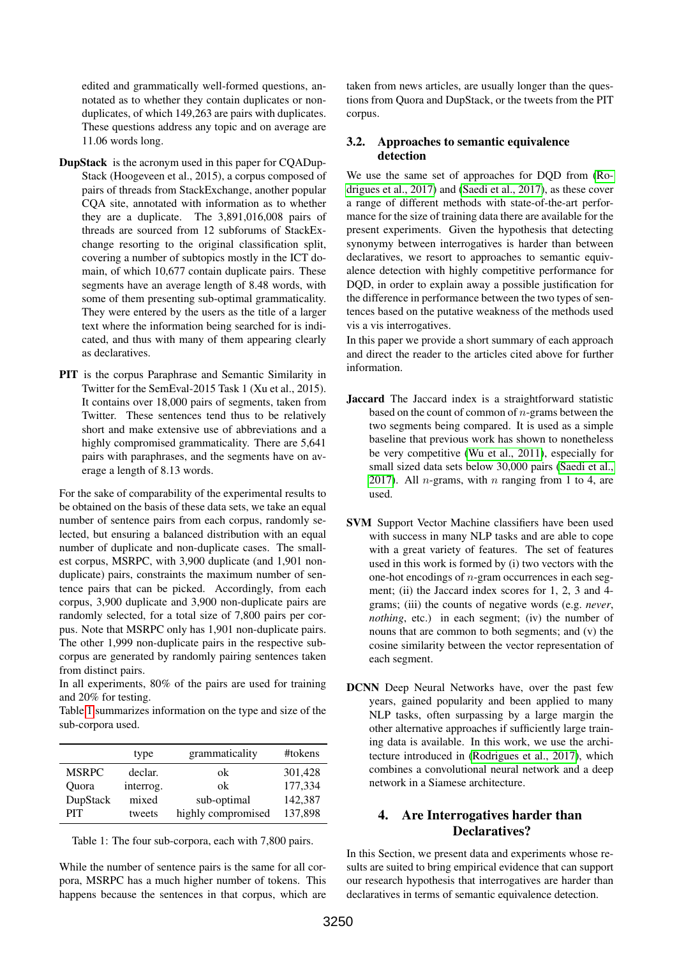edited and grammatically well-formed questions, annotated as to whether they contain duplicates or nonduplicates, of which 149,263 are pairs with duplicates. These questions address any topic and on average are 11.06 words long.

- DupStack is the acronym used in this paper for CQADup-Stack (Hoogeveen et al., 2015), a corpus composed of pairs of threads from StackExchange, another popular CQA site, annotated with information as to whether they are a duplicate. The 3,891,016,008 pairs of threads are sourced from 12 subforums of StackExchange resorting to the original classification split, covering a number of subtopics mostly in the ICT domain, of which 10,677 contain duplicate pairs. These segments have an average length of 8.48 words, with some of them presenting sub-optimal grammaticality. They were entered by the users as the title of a larger text where the information being searched for is indicated, and thus with many of them appearing clearly as declaratives.
- PIT is the corpus Paraphrase and Semantic Similarity in Twitter for the SemEval-2015 Task 1 (Xu et al., 2015). It contains over 18,000 pairs of segments, taken from Twitter. These sentences tend thus to be relatively short and make extensive use of abbreviations and a highly compromised grammaticality. There are 5,641 pairs with paraphrases, and the segments have on average a length of 8.13 words.

For the sake of comparability of the experimental results to be obtained on the basis of these data sets, we take an equal number of sentence pairs from each corpus, randomly selected, but ensuring a balanced distribution with an equal number of duplicate and non-duplicate cases. The smallest corpus, MSRPC, with 3,900 duplicate (and 1,901 nonduplicate) pairs, constraints the maximum number of sentence pairs that can be picked. Accordingly, from each corpus, 3,900 duplicate and 3,900 non-duplicate pairs are randomly selected, for a total size of 7,800 pairs per corpus. Note that MSRPC only has 1,901 non-duplicate pairs. The other 1,999 non-duplicate pairs in the respective subcorpus are generated by randomly pairing sentences taken from distinct pairs.

In all experiments, 80% of the pairs are used for training and 20% for testing.

Table [1](#page-2-0) summarizes information on the type and size of the sub-corpora used.

|              | type      | grammaticality     | #tokens |
|--------------|-----------|--------------------|---------|
| <b>MSRPC</b> | declar.   | ok                 | 301,428 |
| Ouora        | interrog. | ok                 | 177,334 |
| DupStack     | mixed     | sub-optimal        | 142,387 |
| <b>PIT</b>   | tweets    | highly compromised | 137,898 |

<span id="page-2-0"></span>Table 1: The four sub-corpora, each with 7,800 pairs.

While the number of sentence pairs is the same for all corpora, MSRPC has a much higher number of tokens. This happens because the sentences in that corpus, which are taken from news articles, are usually longer than the questions from Quora and DupStack, or the tweets from the PIT corpus.

### 3.2. Approaches to semantic equivalence detection

We use the same set of approaches for DQD from [\(Ro](#page-5-3)[drigues et al., 2017\)](#page-5-3) and [\(Saedi et al., 2017\)](#page-5-4), as these cover a range of different methods with state-of-the-art performance for the size of training data there are available for the present experiments. Given the hypothesis that detecting synonymy between interrogatives is harder than between declaratives, we resort to approaches to semantic equivalence detection with highly competitive performance for DQD, in order to explain away a possible justification for the difference in performance between the two types of sentences based on the putative weakness of the methods used vis a vis interrogatives.

In this paper we provide a short summary of each approach and direct the reader to the articles cited above for further information.

- Jaccard The Jaccard index is a straightforward statistic based on the count of common of  $n$ -grams between the two segments being compared. It is used as a simple baseline that previous work has shown to nonetheless be very competitive [\(Wu et al., 2011\)](#page-5-5), especially for small sized data sets below 30,000 pairs [\(Saedi et al.,](#page-5-4) [2017\)](#page-5-4). All *n*-grams, with *n* ranging from 1 to 4, are used.
- SVM Support Vector Machine classifiers have been used with success in many NLP tasks and are able to cope with a great variety of features. The set of features used in this work is formed by (i) two vectors with the one-hot encodings of n-gram occurrences in each segment; (ii) the Jaccard index scores for 1, 2, 3 and 4 grams; (iii) the counts of negative words (e.g. *never*, *nothing*, etc.) in each segment; (iv) the number of nouns that are common to both segments; and (v) the cosine similarity between the vector representation of each segment.
- DCNN Deep Neural Networks have, over the past few years, gained popularity and been applied to many NLP tasks, often surpassing by a large margin the other alternative approaches if sufficiently large training data is available. In this work, we use the architecture introduced in [\(Rodrigues et al., 2017\)](#page-5-3), which combines a convolutional neural network and a deep network in a Siamese architecture.

# 4. Are Interrogatives harder than Declaratives?

In this Section, we present data and experiments whose results are suited to bring empirical evidence that can support our research hypothesis that interrogatives are harder than declaratives in terms of semantic equivalence detection.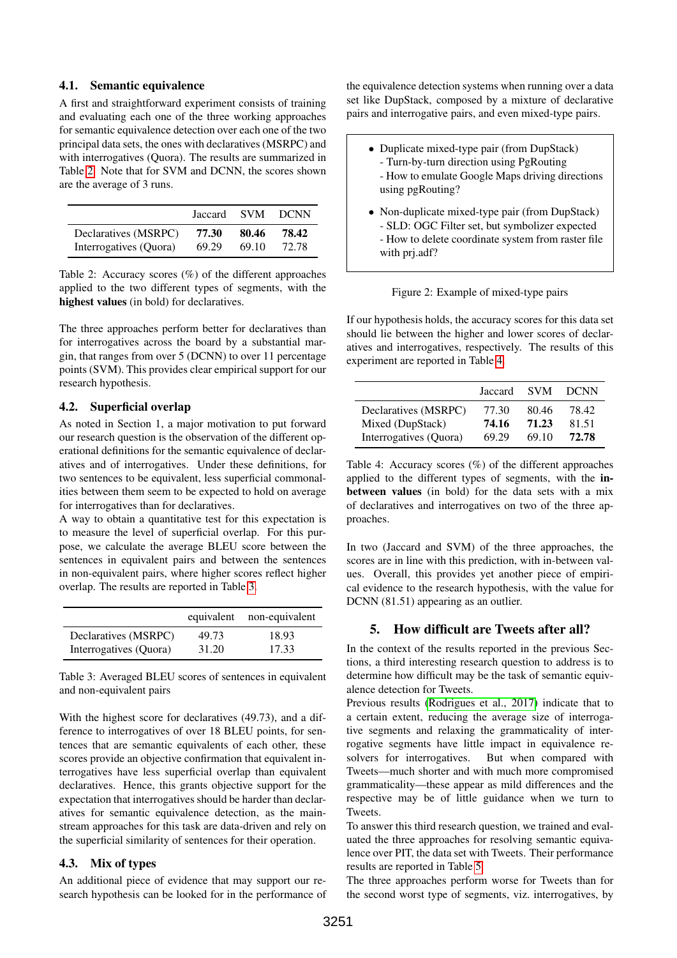### 4.1. Semantic equivalence

A first and straightforward experiment consists of training and evaluating each one of the three working approaches for semantic equivalence detection over each one of the two principal data sets, the ones with declaratives (MSRPC) and with interrogatives (Quora). The results are summarized in Table [2.](#page-3-0) Note that for SVM and DCNN, the scores shown are the average of 3 runs.

|                        | Jaccard | - SVM | <b>DCNN</b> |
|------------------------|---------|-------|-------------|
| Declaratives (MSRPC)   | 77.30   | 80.46 | 78.42       |
| Interrogatives (Quora) | 69.29   | 69.10 | 72.78       |

<span id="page-3-0"></span>Table 2: Accuracy scores (%) of the different approaches applied to the two different types of segments, with the highest values (in bold) for declaratives.

The three approaches perform better for declaratives than for interrogatives across the board by a substantial margin, that ranges from over 5 (DCNN) to over 11 percentage points (SVM). This provides clear empirical support for our research hypothesis.

#### 4.2. Superficial overlap

As noted in Section 1, a major motivation to put forward our research question is the observation of the different operational definitions for the semantic equivalence of declaratives and of interrogatives. Under these definitions, for two sentences to be equivalent, less superficial commonalities between them seem to be expected to hold on average for interrogatives than for declaratives.

A way to obtain a quantitative test for this expectation is to measure the level of superficial overlap. For this purpose, we calculate the average BLEU score between the sentences in equivalent pairs and between the sentences in non-equivalent pairs, where higher scores reflect higher overlap. The results are reported in Table [3.](#page-3-1)

|                        |       | equivalent non-equivalent |
|------------------------|-------|---------------------------|
| Declaratives (MSRPC)   | 49.73 | 18.93                     |
| Interrogatives (Quora) | 31.20 | 17.33                     |

<span id="page-3-1"></span>Table 3: Averaged BLEU scores of sentences in equivalent and non-equivalent pairs

With the highest score for declaratives (49.73), and a difference to interrogatives of over 18 BLEU points, for sentences that are semantic equivalents of each other, these scores provide an objective confirmation that equivalent interrogatives have less superficial overlap than equivalent declaratives. Hence, this grants objective support for the expectation that interrogatives should be harder than declaratives for semantic equivalence detection, as the mainstream approaches for this task are data-driven and rely on the superficial similarity of sentences for their operation.

#### 4.3. Mix of types

An additional piece of evidence that may support our research hypothesis can be looked for in the performance of the equivalence detection systems when running over a data set like DupStack, composed by a mixture of declarative pairs and interrogative pairs, and even mixed-type pairs.

- Duplicate mixed-type pair (from DupStack) - Turn-by-turn direction using PgRouting - How to emulate Google Maps driving directions using pgRouting? • Non-duplicate mixed-type pair (from DupStack)
- SLD: OGC Filter set, but symbolizer expected - How to delete coordinate system from raster file with prj.adf?

Figure 2: Example of mixed-type pairs

If our hypothesis holds, the accuracy scores for this data set should lie between the higher and lower scores of declaratives and interrogatives, respectively. The results of this experiment are reported in Table [4.](#page-3-2)

|                        | Jaccard | <b>SVM</b> | <b>DCNN</b> |
|------------------------|---------|------------|-------------|
| Declaratives (MSRPC)   | 77.30   | 80.46      | 78.42       |
| Mixed (DupStack)       | 74.16   | 71.23      | 81.51       |
| Interrogatives (Quora) | 69.29   | 69.10      | 72.78       |

<span id="page-3-2"></span>Table 4: Accuracy scores (%) of the different approaches applied to the different types of segments, with the inbetween values (in bold) for the data sets with a mix of declaratives and interrogatives on two of the three approaches.

In two (Jaccard and SVM) of the three approaches, the scores are in line with this prediction, with in-between values. Overall, this provides yet another piece of empirical evidence to the research hypothesis, with the value for DCNN (81.51) appearing as an outlier.

## 5. How difficult are Tweets after all?

In the context of the results reported in the previous Sections, a third interesting research question to address is to determine how difficult may be the task of semantic equivalence detection for Tweets.

Previous results [\(Rodrigues et al., 2017\)](#page-5-3) indicate that to a certain extent, reducing the average size of interrogative segments and relaxing the grammaticality of interrogative segments have little impact in equivalence resolvers for interrogatives. But when compared with Tweets—much shorter and with much more compromised grammaticality—these appear as mild differences and the respective may be of little guidance when we turn to Tweets.

To answer this third research question, we trained and evaluated the three approaches for resolving semantic equivalence over PIT, the data set with Tweets. Their performance results are reported in Table [5.](#page-4-0)

The three approaches perform worse for Tweets than for the second worst type of segments, viz. interrogatives, by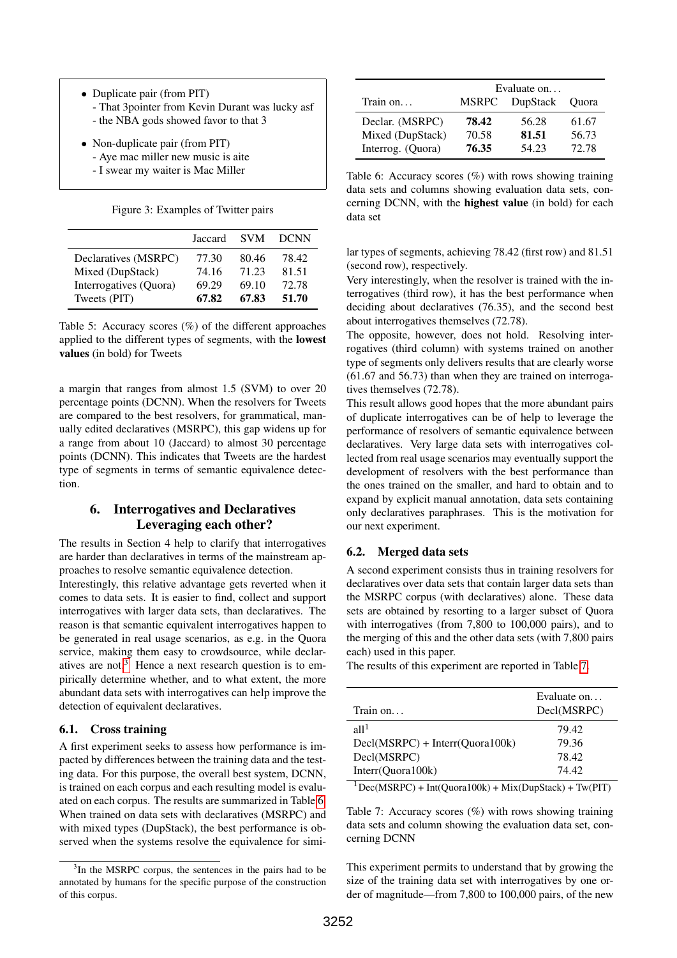- Duplicate pair (from PIT) - That 3pointer from Kevin Durant was lucky asf - the NBA gods showed favor to that 3
- Non-duplicate pair (from PIT)
	- Aye mac miller new music is aite - I swear my waiter is Mac Miller

Figure 3: Examples of Twitter pairs

|                        | Jaccard | <b>SVM</b> | <b>DCNN</b> |
|------------------------|---------|------------|-------------|
| Declaratives (MSRPC)   | 77.30   | 80.46      | 78.42       |
| Mixed (DupStack)       | 74.16   | 71.23      | 81.51       |
| Interrogatives (Quora) | 69.29   | 69.10      | 72.78       |
| Tweets (PIT)           | 67.82   | 67.83      | 51.70       |

<span id="page-4-0"></span>Table 5: Accuracy scores (%) of the different approaches applied to the different types of segments, with the lowest values (in bold) for Tweets

a margin that ranges from almost 1.5 (SVM) to over 20 percentage points (DCNN). When the resolvers for Tweets are compared to the best resolvers, for grammatical, manually edited declaratives (MSRPC), this gap widens up for a range from about 10 (Jaccard) to almost 30 percentage points (DCNN). This indicates that Tweets are the hardest type of segments in terms of semantic equivalence detection.

# 6. Interrogatives and Declaratives Leveraging each other?

The results in Section 4 help to clarify that interrogatives are harder than declaratives in terms of the mainstream approaches to resolve semantic equivalence detection.

Interestingly, this relative advantage gets reverted when it comes to data sets. It is easier to find, collect and support interrogatives with larger data sets, than declaratives. The reason is that semantic equivalent interrogatives happen to be generated in real usage scenarios, as e.g. in the Quora service, making them easy to crowdsource, while declaratives are not. $3$  Hence a next research question is to empirically determine whether, and to what extent, the more abundant data sets with interrogatives can help improve the detection of equivalent declaratives.

### 6.1. Cross training

A first experiment seeks to assess how performance is impacted by differences between the training data and the testing data. For this purpose, the overall best system, DCNN, is trained on each corpus and each resulting model is evaluated on each corpus. The results are summarized in Table [6.](#page-4-2) When trained on data sets with declaratives (MSRPC) and with mixed types (DupStack), the best performance is observed when the systems resolve the equivalence for simi-

|                   | Evaluate on  |          |              |
|-------------------|--------------|----------|--------------|
| Train on          | <b>MSRPC</b> | DupStack | <b>Ouora</b> |
| Declar. (MSRPC)   | 78.42        | 56.28    | 61.67        |
| Mixed (DupStack)  | 70.58        | 81.51    | 56.73        |
| Interrog. (Quora) | 76.35        | 54.23    | 72.78        |

<span id="page-4-2"></span>Table 6: Accuracy scores  $(\%)$  with rows showing training data sets and columns showing evaluation data sets, concerning DCNN, with the highest value (in bold) for each data set

lar types of segments, achieving 78.42 (first row) and 81.51 (second row), respectively.

Very interestingly, when the resolver is trained with the interrogatives (third row), it has the best performance when deciding about declaratives (76.35), and the second best about interrogatives themselves (72.78).

The opposite, however, does not hold. Resolving interrogatives (third column) with systems trained on another type of segments only delivers results that are clearly worse (61.67 and 56.73) than when they are trained on interrogatives themselves (72.78).

This result allows good hopes that the more abundant pairs of duplicate interrogatives can be of help to leverage the performance of resolvers of semantic equivalence between declaratives. Very large data sets with interrogatives collected from real usage scenarios may eventually support the development of resolvers with the best performance than the ones trained on the smaller, and hard to obtain and to expand by explicit manual annotation, data sets containing only declaratives paraphrases. This is the motivation for our next experiment.

### 6.2. Merged data sets

A second experiment consists thus in training resolvers for declaratives over data sets that contain larger data sets than the MSRPC corpus (with declaratives) alone. These data sets are obtained by resorting to a larger subset of Quora with interrogatives (from 7,800 to 100,000 pairs), and to the merging of this and the other data sets (with 7,800 pairs each) used in this paper.

The results of this experiment are reported in Table [7.](#page-4-3)

| Train on                          | Evaluate on<br>Decl(MSRPC) |
|-----------------------------------|----------------------------|
| a11 <sup>1</sup>                  | 79.42                      |
| $Decl(MSRPC) + Interr(Quora100k)$ | 79.36                      |
| Decl(MSRPC)                       | 78.42                      |
| Interr(Quora100k)                 | 74.42                      |

<span id="page-4-3"></span> $1\text{Dec(MSRPC)} + \text{Int(Quora100k)} + \text{Mix(DupStack)} + \text{Tw(PIT)}$ 

Table 7: Accuracy scores (%) with rows showing training data sets and column showing the evaluation data set, concerning DCNN

This experiment permits to understand that by growing the size of the training data set with interrogatives by one order of magnitude—from 7,800 to 100,000 pairs, of the new

<span id="page-4-1"></span><sup>&</sup>lt;sup>3</sup>In the MSRPC corpus, the sentences in the pairs had to be annotated by humans for the specific purpose of the construction of this corpus.